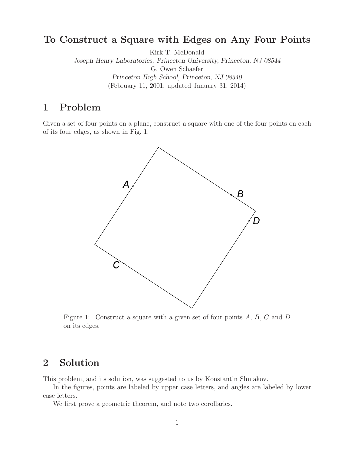## **To Construct a Square with Edges on Any Four Points**

Kirk T. McDonald *Joseph Henry Laboratories, Princeton University, Princeton, NJ 08544* G. Owen Schaefer *Princeton High School, Princeton, NJ 08540* (February 11, 2001; updated January 31, 2014)

# **1 Problem**

Given a set of four points on a plane, construct a square with one of the four points on each of its four edges, as shown in Fig. 1.



Figure 1: Construct a square with a given set of four points  $A, B, C$  and  $D$ on its edges.

## **2 Solution**

This problem, and its solution, was suggested to us by Konstantin Shmakov.

In the figures, points are labeled by upper case letters, and angles are labeled by lower case letters.

We first prove a geometric theorem, and note two corollaries.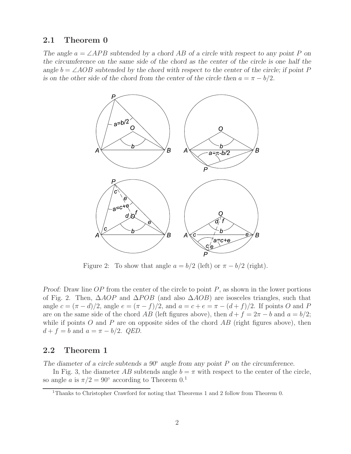### **2.1 Theorem 0**

*The angle*  $a = \angle APB$  *subtended by a chord AB of a circle with respect to any point* P *on the circumference on the same side of the chord as the center of the circle is one half the angle*  $b = \angle AOB$  *subtended by the chord with respect to the center of the circle; if point* P *is on the other side of the chord from the center of the circle then*  $a = \pi - b/2$ *.* 



Figure 2: To show that angle  $a = b/2$  (left) or  $\pi - b/2$  (right).

*Proof:* Draw line OP from the center of the circle to point P, as shown in the lower portions of Fig. 2. Then,  $\Delta AOP$  and  $\Delta POB$  (and also  $\Delta AOB$ ) are isosceles triangles, such that angle  $c = (\pi - d)/2$ , angle  $e = (\pi - f)/2$ , and  $a = c + e = \pi - (d + f)/2$ . If points O and P are on the same side of the chord AB (left figures above), then  $d + f = 2\pi - b$  and  $a = b/2$ ; while if points O and P are on opposite sides of the chord  $AB$  (right figures above), then  $d + f = b$  and  $a = \pi - b/2$ . *QED*.

### **2.2 Theorem 1**

*The diameter of a circle subtends a 90*◦ *angle from any point* P *on the circumference.*

In Fig. 3, the diameter AB subtends angle  $b = \pi$  with respect to the center of the circle, so angle a is  $\pi/2 = 90^{\circ}$  according to Theorem 0.<sup>1</sup>

<sup>&</sup>lt;sup>1</sup>Thanks to Christopher Crawford for noting that Theorems 1 and 2 follow from Theorem 0.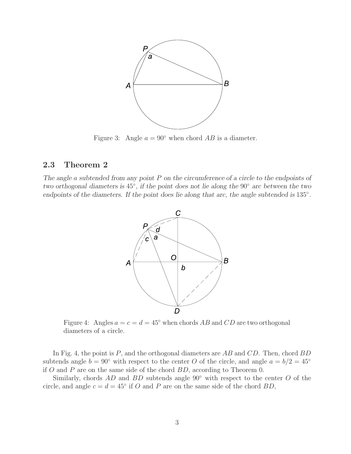

Figure 3: Angle  $a = 90^\circ$  when chord AB is a diameter.

### **2.3 Theorem 2**

*The angle* a *subtended from any point* P *on the circumference of a circle to the endpoints of two orthogonal diameters is* 45◦*, if the point does not lie along the* 90◦ *arc between the two endpoints of the diameters. If the point does lie along that arc, the angle subtended is* 135◦*.*



Figure 4: Angles  $a = c = d = 45^{\circ}$  when chords AB and CD are two orthogonal diameters of a circle.

In Fig. 4, the point is  $P$ , and the orthogonal diameters are  $AB$  and  $CD$ . Then, chord  $BD$ subtends angle  $b = 90°$  with respect to the center O of the circle, and angle  $a = b/2 = 45°$ if O and P are on the same side of the chord  $BD$ , according to Theorem 0.

Similarly, chords  $AD$  and  $BD$  subtends angle  $90°$  with respect to the center O of the circle, and angle  $c = d = 45^{\circ}$  if O and P are on the same side of the chord BD,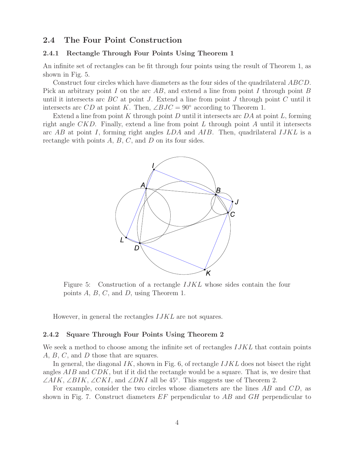#### **2.4 The Four Point Construction**

#### **2.4.1 Rectangle Through Four Points Using Theorem 1**

An infinite set of rectangles can be fit through four points using the result of Theorem 1, as shown in Fig. 5.

Construct four circles which have diameters as the four sides of the quadrilateral ABCD. Pick an arbitrary point I on the arc  $AB$ , and extend a line from point I through point B until it intersects arc  $BC$  at point J. Extend a line from point J through point C until it intersects arc CD at point K. Then,  $\angle BJC = 90^{\circ}$  according to Theorem 1.

Extend a line from point K through point D until it intersects arc  $DA$  at point L, forming right angle  $CKD$ . Finally, extend a line from point L through point A until it intersects arc AB at point I, forming right angles  $LDA$  and  $AIB$ . Then, quadrilateral  $IJKL$  is a rectangle with points  $A, B, C$ , and  $D$  on its four sides.



Figure 5: Construction of a rectangle *IJKL* whose sides contain the four points A, B, C, and D, using Theorem 1.

However, in general the rectangles IJKL are not squares.

#### **2.4.2 Square Through Four Points Using Theorem 2**

We seek a method to choose among the infinite set of rectangles  $IJKL$  that contain points A, B, C, and D those that are squares.

In general, the diagonal  $IK$ , shown in Fig. 6, of rectangle  $IJKL$  does not bisect the right angles  $AIB$  and  $CDK$ , but if it did the rectangle would be a square. That is, we desire that  $\angle AIK$ ,  $\angle BIK$ ,  $\angle CKI$ , and  $\angle DKI$  all be 45°. This suggests use of Theorem 2.

For example, consider the two circles whose diameters are the lines AB and CD, as shown in Fig. 7. Construct diameters EF perpendicular to AB and GH perpendicular to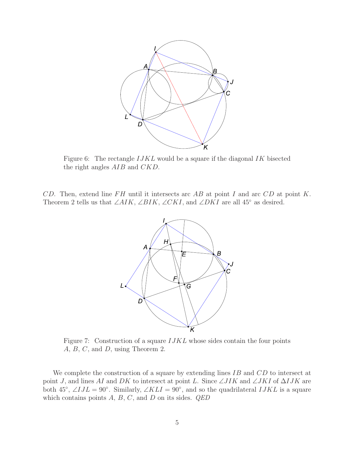

Figure 6: The rectangle *IJKL* would be a square if the diagonal *IK* bisected the right angles AIB and CKD.

CD. Then, extend line  $FH$  until it intersects arc  $AB$  at point I and arc  $CD$  at point K. Theorem 2 tells us that  $\angle AIK$ ,  $\angle BIK$ ,  $\angle CKI$ , and  $\angle DKI$  are all 45° as desired.



Figure 7: Construction of a square  $IJKL$  whose sides contain the four points A, B, C, and D, using Theorem 2.

We complete the construction of a square by extending lines IB and CD to intersect at point J, and lines AI and DK to intersect at point L. Since  $\angle JIK$  and  $\angle JKI$  of  $\Delta IJK$  are both 45<sup>°</sup>,  $\angle IJL = 90$ °. Similarly,  $\angle KLI = 90$ °, and so the quadrilateral  $IJKL$  is a square which contains points A, B, C, and D on its sides. *QED*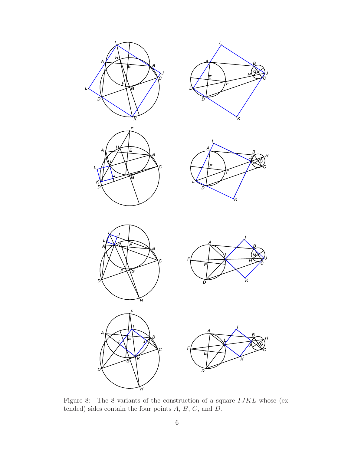

Figure 8: The 8 variants of the construction of a square IJKL whose (extended) sides contain the four points  $A, B, C$ , and  $D$ .